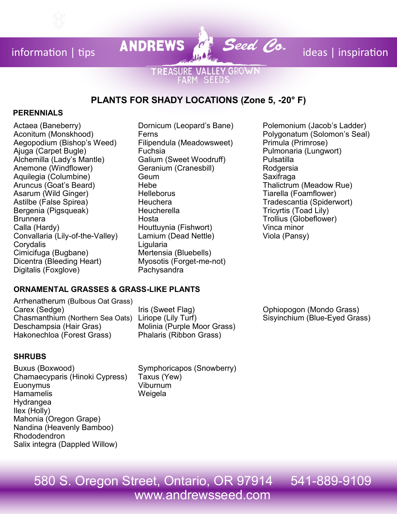information | tips **ANDREWS**  $\begin{matrix} a & b \\ c & d \end{matrix}$  **Seed Co.** ideas | inspiration

## **TREASURE VALLEY GROWN** ARM SEEDS

# **PLANTS FOR SHADY LOCATIONS (Zone 5, -20° F)**

### **PERENNIALS**

Actaea (Baneberry) Aconitum (Monskhood) Aegopodium (Bishop's Weed) Ajuga (Carpet Bugle) Alchemilla (Lady's Mantle) Anemone (Windflower) Aquilegia (Columbine) Aruncus (Goat's Beard) Asarum (Wild Ginger) Astilbe (False Spirea) Bergenia (Pigsqueak) Brunnera Calla (Hardy) Convallaria (Lily-of-the-Valley) **Corvdalis** Cimicifuga (Bugbane) Dicentra (Bleeding Heart) Digitalis (Foxglove)

- Dornicum (Leopard's Bane) Ferns Filipendula (Meadowsweet) Fuchsia Galium (Sweet Woodruff) Geranium (Cranesbill) Geum Hebe **Helleborus Heuchera Heucherella** Hosta Houttuynia (Fishwort) Lamium (Dead Nettle) Ligularia Mertensia (Bluebells) Myosotis (Forget-me-not) **Pachysandra**
- Polemonium (Jacob's Ladder) Polygonatum (Solomon's Seal) Primula (Primrose) Pulmonaria (Lungwort) Pulsatilla Rodgersia **Saxifraga** Thalictrum (Meadow Rue) Tiarella (Foamflower) Tradescantia (Spiderwort) Tricyrtis (Toad Lily) Trollius (Globeflower) Vinca minor Viola (Pansy)

### **ORNAMENTAL GRASSES & GRASS-LIKE PLANTS**

Arrhenatherum (Bulbous Oat Grass) Carex (Sedge) Chasmanthium (Northern Sea Oats) Liriope (Lily Turf) Deschampsia (Hair Gras) Hakonechloa (Forest Grass)

Iris (Sweet Flag) Molinia (Purple Moor Grass) Phalaris (Ribbon Grass)

### **SHRUBS**

Buxus (Boxwood) Chamaecyparis (Hinoki Cypress) **Euonymus Hamamelis** Hydrangea Ilex (Holly) Mahonia (Oregon Grape) Nandina (Heavenly Bamboo) Rhododendron Salix integra (Dappled Willow)

Symphoricapos (Snowberry) Taxus (Yew) Viburnum Weigela

Ophiopogon (Mondo Grass) Sisyinchium (Blue-Eyed Grass)

# 580 S. Oregon Street, Ontario, OR 97914 541-889-9109 www.andrewsseed.com